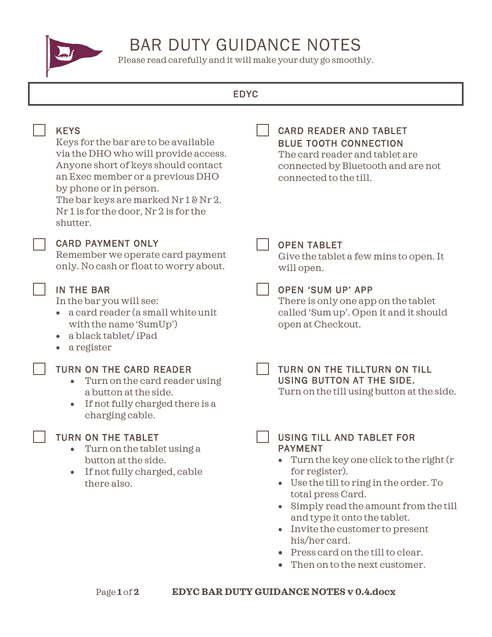

# BAR DUTY GUIDANCE NOTES

Please read carefully and it will make your duty go smoothly.

# EDYC

| <b>KEYS</b><br>Keys for the bar are to be available<br>via the DHO who will provide access.<br>Anyone short of keys should contact<br>an Exec member or a previous DHO<br>by phone or in person.<br>The bar keys are marked Nr 1 & Nr 2.<br>Nr 1 is for the door, Nr 2 is for the<br>shutter. | <b>CARD READER AND TABLET</b><br><b>BLUE TOOTH CONNECTION</b><br>The card reader and tablet are<br>connected by Bluetooth and are not<br>connected to the till.                                                                                                                                                                                                                                        |
|-----------------------------------------------------------------------------------------------------------------------------------------------------------------------------------------------------------------------------------------------------------------------------------------------|--------------------------------------------------------------------------------------------------------------------------------------------------------------------------------------------------------------------------------------------------------------------------------------------------------------------------------------------------------------------------------------------------------|
| <b>CARD PAYMENT ONLY</b><br>Remember we operate card payment<br>only. No cash or float to worry about.                                                                                                                                                                                        | <b>OPEN TABLET</b><br>Give the tablet a few mins to open. It<br>will open.                                                                                                                                                                                                                                                                                                                             |
| <b>IN THE BAR</b><br>In the bar you will see:<br>a card reader (a small white unit<br>with the name 'SumUp')<br>a black tablet/iPad<br>$\bullet$<br>a register<br>$\bullet$                                                                                                                   | <b>OPEN 'SUM UP' APP</b><br>There is only one app on the tablet<br>called 'Sum up'. Open it and it should<br>open at Checkout.                                                                                                                                                                                                                                                                         |
| <b>TURN ON THE CARD READER</b><br>Turn on the card reader using<br>a button at the side.<br>If not fully charged there is a<br>$\bullet$<br>charging cable.                                                                                                                                   | TURN ON THE TILLTURN ON TILL<br>USING BUTTON AT THE SIDE.<br>Turn on the till using button at the side.                                                                                                                                                                                                                                                                                                |
| <b>TURN ON THE TABLET</b><br>Turn on the tablet using a<br>button at the side.<br>If not fully charged, cable<br>there also.                                                                                                                                                                  | <b>USING TILL AND TABLET FOR</b><br><b>PAYMENT</b><br>Turn the key one click to the right (r<br>for register).<br>Use the till to ring in the order. To<br>$\bullet$<br>total press Card.<br>Simply read the amount from the till<br>and type it onto the tablet.<br>Invite the customer to present<br>his/her card.<br>Press card on the till to clear.<br>$\bullet$<br>Then on to the next customer. |